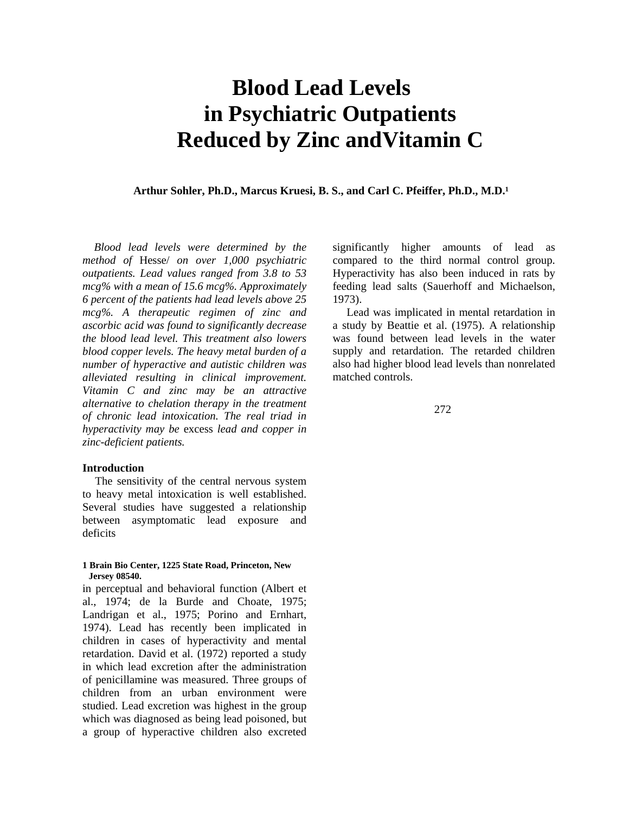# **Blood Lead Levels in Psychiatric Outpatients Reduced by Zinc andVitamin C**

Arthur Sohler, Ph.D., Marcus Kruesi, B. S., and Carl C. Pfeiffer, Ph.D., M.D.<sup>1</sup>

*Blood lead levels were determined by the method of* Hesse/ *on over 1,000 psychiatric outpatients. Lead values ranged from 3.8 to 53 mcg% with a mean of 15.6 mcg%. Approximately 6 percent of the patients had lead levels above 25 mcg%. A therapeutic regimen of zinc and ascorbic acid was found to significantly decrease the blood lead level. This treatment also lowers blood copper levels. The heavy metal burden of a number of hyperactive and autistic children was alleviated resulting in clinical improvement. Vitamin C and zinc may be an attractive alternative to chelation therapy in the treatment of chronic lead intoxication. The real triad in hyperactivity may be* excess *lead and copper in zinc-deficient patients.*

## **Introduction**

The sensitivity of the central nervous system to heavy metal intoxication is well established. Several studies have suggested a relationship between asymptomatic lead exposure and deficits

# **1 Brain Bio Center, 1225 State Road, Princeton, New Jersey 08540.**

in perceptual and behavioral function (Albert et al., 1974; de la Burde and Choate, 1975; Landrigan et al., 1975; Porino and Ernhart, 1974). Lead has recently been implicated in children in cases of hyperactivity and mental retardation. David et al. (1972) reported a study in which lead excretion after the administration of penicillamine was measured. Three groups of children from an urban environment were studied. Lead excretion was highest in the group which was diagnosed as being lead poisoned, but a group of hyperactive children also excreted

significantly higher amounts of lead as compared to the third normal control group. Hyperactivity has also been induced in rats by feeding lead salts (Sauerhoff and Michaelson, 1973).

Lead was implicated in mental retardation in a study by Beattie et al. (1975). A relationship was found between lead levels in the water supply and retardation. The retarded children also had higher blood lead levels than nonrelated matched controls.

272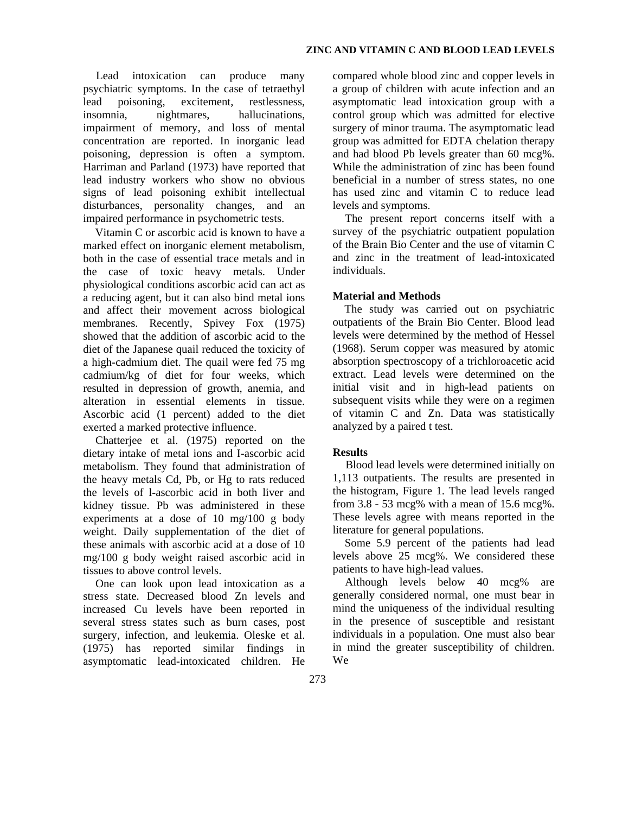Lead intoxication can produce many psychiatric symptoms. In the case of tetraethyl lead poisoning, excitement, restlessness, insomnia, nightmares, hallucinations, impairment of memory, and loss of mental concentration are reported. In inorganic lead poisoning, depression is often a symptom. Harriman and Parland (1973) have reported that lead industry workers who show no obvious signs of lead poisoning exhibit intellectual disturbances, personality changes, and an impaired performance in psychometric tests.

Vitamin C or ascorbic acid is known to have a marked effect on inorganic element metabolism, both in the case of essential trace metals and in the case of toxic heavy metals. Under physiological conditions ascorbic acid can act as a reducing agent, but it can also bind metal ions and affect their movement across biological membranes. Recently, Spivey Fox (1975) showed that the addition of ascorbic acid to the diet of the Japanese quail reduced the toxicity of a high-cadmium diet. The quail were fed 75 mg cadmium/kg of diet for four weeks, which resulted in depression of growth, anemia, and alteration in essential elements in tissue. Ascorbic acid (1 percent) added to the diet exerted a marked protective influence.

Chatterjee et al. (1975) reported on the dietary intake of metal ions and I-ascorbic acid metabolism. They found that administration of the heavy metals Cd, Pb, or Hg to rats reduced the levels of l-ascorbic acid in both liver and kidney tissue. Pb was administered in these experiments at a dose of 10 mg/100 g body weight. Daily supplementation of the diet of these animals with ascorbic acid at a dose of 10 mg/100 g body weight raised ascorbic acid in tissues to above control levels.

One can look upon lead intoxication as a stress state. Decreased blood Zn levels and increased Cu levels have been reported in several stress states such as burn cases, post surgery, infection, and leukemia. Oleske et al. (1975) has reported similar findings in asymptomatic lead-intoxicated children. He compared whole blood zinc and copper levels in a group of children with acute infection and an asymptomatic lead intoxication group with a control group which was admitted for elective surgery of minor trauma. The asymptomatic lead group was admitted for EDTA chelation therapy and had blood Pb levels greater than 60 mcg%. While the administration of zinc has been found beneficial in a number of stress states, no one has used zinc and vitamin C to reduce lead levels and symptoms.

The present report concerns itself with a survey of the psychiatric outpatient population of the Brain Bio Center and the use of vitamin C and zinc in the treatment of lead-intoxicated individuals.

# **Material and Methods**

The study was carried out on psychiatric outpatients of the Brain Bio Center. Blood lead levels were determined by the method of Hessel (1968). Serum copper was measured by atomic absorption spectroscopy of a trichloroacetic acid extract. Lead levels were determined on the initial visit and in high-lead patients on subsequent visits while they were on a regimen of vitamin C and Zn. Data was statistically analyzed by a paired t test.

# **Results**

Blood lead levels were determined initially on 1,113 outpatients. The results are presented in the histogram, Figure 1. The lead levels ranged from  $3.8 - 53$  mcg% with a mean of 15.6 mcg%. These levels agree with means reported in the literature for general populations.

Some 5.9 percent of the patients had lead levels above 25 mcg%. We considered these patients to have high-lead values.

Although levels below 40 mcg% are generally considered normal, one must bear in mind the uniqueness of the individual resulting in the presence of susceptible and resistant individuals in a population. One must also bear in mind the greater susceptibility of children. We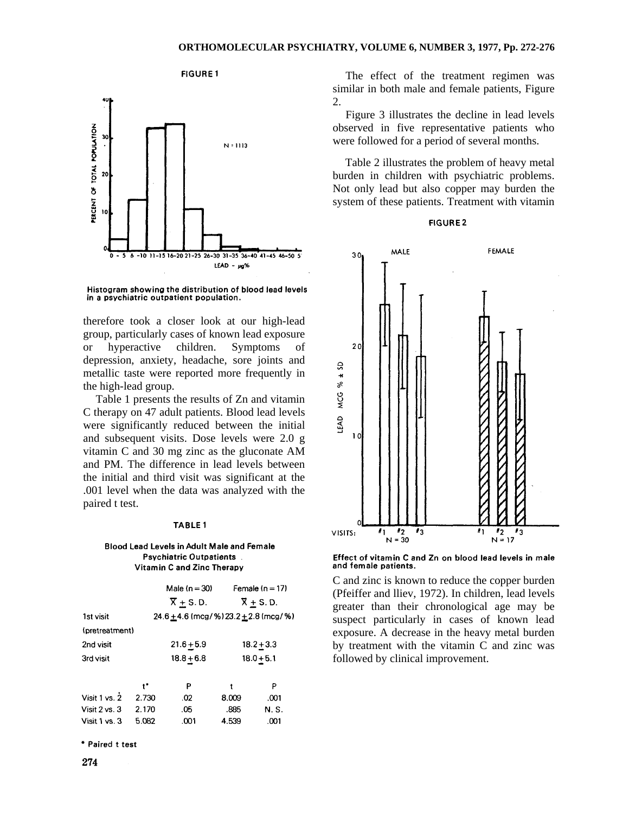

**FIGURE1** 



therefore took a closer look at our high-lead group, particularly cases of known lead exposure or hyperactive children. Symptoms of depression, anxiety, headache, sore joints and metallic taste were reported more frequently in the high-lead group.

Table 1 presents the results of Zn and vitamin C therapy on 47 adult patients. Blood lead levels were significantly reduced between the initial and subsequent visits. Dose levels were 2.0 g vitamin C and 30 mg zinc as the gluconate AM and PM. The difference in lead levels between the initial and third visit was significant at the .001 level when the data was analyzed with the paired t test.

# TABLE<sub>1</sub>

#### **Blood Lead Levels in Adult Male and Female Psychiatric Outpatients** Vitamin C and Zinc Therapy

|                |       | Male $(n = 30)$                               |       | Female ( $n = 17$ )       |  |
|----------------|-------|-----------------------------------------------|-------|---------------------------|--|
|                |       | $\overline{X}$ + S.D.                         |       | $\overline{X}$ $\pm$ S.D. |  |
| 1st visit      |       | 24.6 $\pm$ 4.6 (mcg/%) 23.2 $\pm$ 2.8 (mcg/%) |       |                           |  |
| (pretreatment) |       |                                               |       |                           |  |
| 2nd visit      |       | $21.6 + 5.9$                                  |       | $18.2 + 3.3$              |  |
| 3rd visit      |       | $18.8 + 6.8$                                  |       | $18.0 + 5.1$              |  |
|                | $t^*$ | P                                             | t     | Ρ                         |  |
| Visit 1 vs. 2  | 2.730 | .02                                           | 8.009 | .001                      |  |
| Visit 2 vs. 3  | 2.170 | .05                                           | .885  | N. S.                     |  |
| Visit 1 vs. 3  | 5.082 | .001                                          | 4.539 | .001                      |  |
|                |       |                                               |       |                           |  |

\* Paired t test

The effect of the treatment regimen was similar in both male and female patients, Figure 2.

Figure 3 illustrates the decline in lead levels observed in five representative patients who were followed for a period of several months.

Table 2 illustrates the problem of heavy metal burden in children with psychiatric problems. Not only lead but also copper may burden the system of these patients. Treatment with vitamin





Effect of vitamin C and Zn on blood lead levels in male and female patients.

C and zinc is known to reduce the copper burden (Pfeiffer and lliev, 1972). In children, lead levels greater than their chronological age may be suspect particularly in cases of known lead exposure. A decrease in the heavy metal burden by treatment with the vitamin C and zinc was followed by clinical improvement.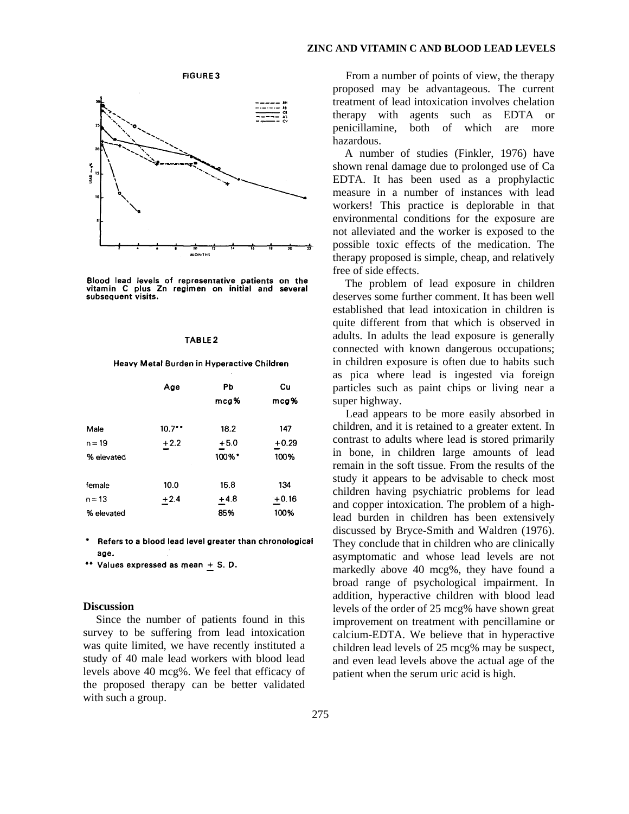### **ZINC AND VITAMIN C AND BLOOD LEAD LEVELS**



Blood lead levels of representative patients on the<br>vitamin C plus Zn regimen on initial and several<br>subsequent visits.

#### TABLE<sub>2</sub>

Heavy Metal Burden in Hyperactive Children

|            | Age    | Pb                   | Cu      |
|------------|--------|----------------------|---------|
|            |        | mcg%                 | mcg%    |
| Male       | 10.7   | 18.2                 | 147     |
| $n = 19$   | $+2.2$ | $+5.0$               | $+0.29$ |
| % elevated |        | $100\%$ <sup>*</sup> | 100%    |
| female     | 10.0   | 15.8                 | 134     |
| $n = 13$   | $+2.4$ | $+4.8$               | $+0.16$ |
| % elevated |        | 85%                  | 100%    |

Refers to a blood lead level greater than chronological age.

\*\* Values expressed as mean  $+$  S.D.

## **Discussion**

Since the number of patients found in this survey to be suffering from lead intoxication was quite limited, we have recently instituted a study of 40 male lead workers with blood lead levels above 40 mcg%. We feel that efficacy of the proposed therapy can be better validated with such a group.

From a number of points of view, the therapy proposed may be advantageous. The current treatment of lead intoxication involves chelation therapy with agents such as EDTA or penicillamine, both of which are more hazardous.

A number of studies (Finkler, 1976) have shown renal damage due to prolonged use of Ca EDTA. It has been used as a prophylactic measure in a number of instances with lead workers! This practice is deplorable in that environmental conditions for the exposure are not alleviated and the worker is exposed to the possible toxic effects of the medication. The therapy proposed is simple, cheap, and relatively free of side effects.

The problem of lead exposure in children deserves some further comment. It has been well established that lead intoxication in children is quite different from that which is observed in adults. In adults the lead exposure is generally connected with known dangerous occupations; in children exposure is often due to habits such as pica where lead is ingested via foreign particles such as paint chips or living near a super highway.

Lead appears to be more easily absorbed in children, and it is retained to a greater extent. In contrast to adults where lead is stored primarily in bone, in children large amounts of lead remain in the soft tissue. From the results of the study it appears to be advisable to check most children having psychiatric problems for lead and copper intoxication. The problem of a highlead burden in children has been extensively discussed by Bryce-Smith and Waldren (1976). They conclude that in children who are clinically asymptomatic and whose lead levels are not markedly above 40 mcg%, they have found a broad range of psychological impairment. In addition, hyperactive children with blood lead levels of the order of 25 mcg% have shown great improvement on treatment with pencillamine or calcium-EDTA. We believe that in hyperactive children lead levels of 25 mcg% may be suspect, and even lead levels above the actual age of the patient when the serum uric acid is high.